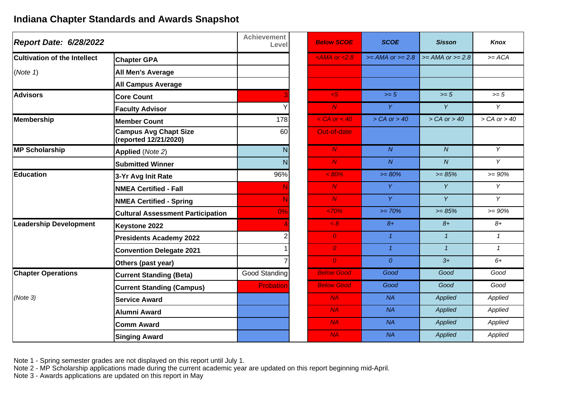## **Indiana Chapter Standards and Awards Snapshot**

| <b>Report Date: 6/28/2022</b>       |                                                       | <b>Achievement</b><br>Level | <b>Below SCOE</b>  | <b>SCOE</b>        | <b>Sisson</b>      | Knox            |
|-------------------------------------|-------------------------------------------------------|-----------------------------|--------------------|--------------------|--------------------|-----------------|
| <b>Cultivation of the Intellect</b> | <b>Chapter GPA</b>                                    |                             | $<$ AMA or $<$ 2.8 | $>= AMA or >= 2.8$ | $>= AMA or >= 2.8$ | $>= ACA$        |
| (Note 1)                            | <b>All Men's Average</b>                              |                             |                    |                    |                    |                 |
|                                     | <b>All Campus Average</b>                             |                             |                    |                    |                    |                 |
| <b>Advisors</b>                     | <b>Core Count</b>                                     |                             | $5 -$              | $>= 5$             | $>= 5$             | $\geq 5$        |
|                                     | <b>Faculty Advisor</b>                                |                             | N                  | Y.                 | Y                  | Y               |
| <b>Membership</b>                   | <b>Member Count</b>                                   | 178                         | $<$ CA or $<$ 40   | $>CA$ or $> 40$    | $>CA$ or $> 40$    | $>CA$ or $> 40$ |
|                                     | <b>Campus Avg Chapt Size</b><br>(reported 12/21/2020) | 60                          | Out-of-date        |                    |                    |                 |
| <b>MP Scholarship</b>               | Applied (Note 2)                                      | N                           | N                  | $\overline{N}$     | $\overline{N}$     | Y               |
|                                     | <b>Submitted Winner</b>                               | N                           | $\overline{N}$     | $\overline{N}$     | $\overline{N}$     | Y               |
| <b>Education</b>                    | 3-Yr Avg Init Rate                                    | 96%                         | $< 80\%$           | $>= 80%$           | $>= 85%$           | $>= 90%$        |
|                                     | <b>NMEA Certified - Fall</b>                          |                             | N                  | Y.                 | Y                  | Y               |
|                                     | <b>NMEA Certified - Spring</b>                        |                             | N                  | Y.                 | Y                  | Y               |
|                                     | <b>Cultural Assessment Participation</b>              | 0%                          | $<70\%$            | $>= 70%$           | $>= 85%$           | $= 90\%$        |
| <b>Leadership Development</b>       | Keystone 2022                                         |                             | < 8                | $8+$               | $8+$               | $8+$            |
|                                     | <b>Presidents Academy 2022</b>                        |                             | $\overline{O}$     | $\mathcal{I}$      | $\mathbf{1}$       | $\mathbf{1}$    |
|                                     | <b>Convention Delegate 2021</b>                       |                             | $\overline{O}$     | $\mathcal{I}$      | $\mathbf{1}$       | $\mathcal I$    |
|                                     | Others (past year)                                    |                             | $\overline{O}$     | $\Omega$           | $3+$               | $6+$            |
| <b>Chapter Operations</b>           | <b>Current Standing (Beta)</b>                        | Good Standing               | <b>Below Good</b>  | Good               | Good               | Good            |
|                                     | <b>Current Standing (Campus)</b>                      | <b>Probation</b>            | <b>Below Good</b>  | Good               | Good               | Good            |
| (Note 3)                            | <b>Service Award</b>                                  |                             | NA                 | <b>NA</b>          | Applied            | Applied         |
|                                     | Alumni Award                                          |                             | NA.                | NA                 | Applied            | Applied         |
|                                     | <b>Comm Award</b>                                     |                             | NA.                | NA                 | Applied            | Applied         |
|                                     | <b>Singing Award</b>                                  |                             | NA                 | NA                 | Applied            | Applied         |

Note 1 - Spring semester grades are not displayed on this report until July 1.

Note 2 - MP Scholarship applications made during the current academic year are updated on this report beginning mid-April.

Note 3 - Awards applications are updated on this report in May